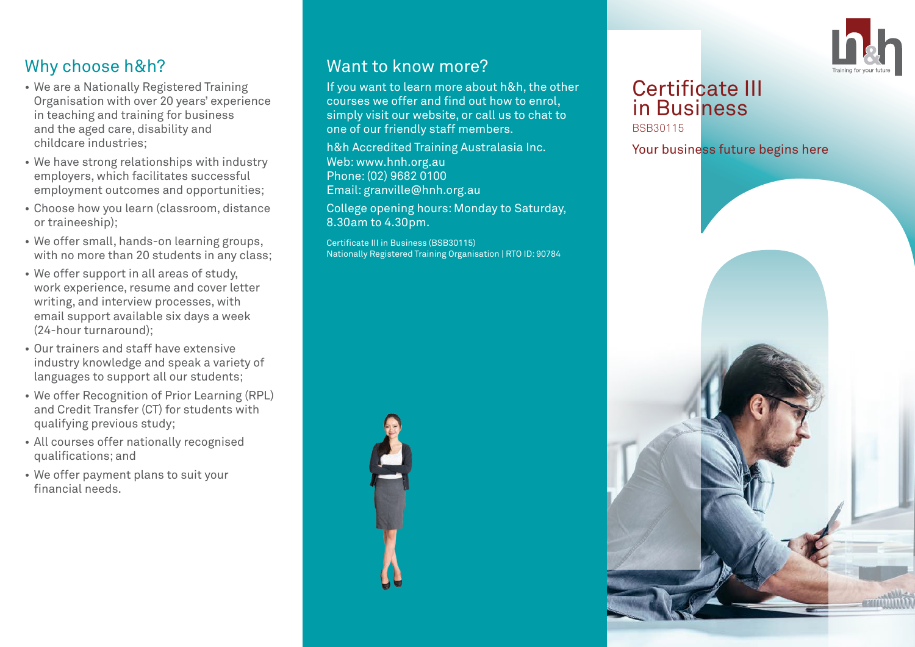

# Why choose h&h?

- We are a Nationally Registered Training Organisation with over 20 years' experience in teaching and training for business and the aged care, disability and childcare industries;
- We have strong relationships with industry employers, which facilitates successful employment outcomes and opportunities;
- Choose how you learn (classroom, distance or traineeship);
- We offer small, hands-on learning groups, with no more than 20 students in any class:
- We offer support in all areas of study, work experience, resume and cover letter writing, and interview processes, with email support available six days a week (24-hour turnaround);
- Our trainers and staff have extensive industry knowledge and speak a variety of languages to support all our students;
- We offer Recognition of Prior Learning (RPL) and Credit Transfer (CT) for students with qualifying previous study;
- All courses offer nationally recognised qualifications; and
- We offer payment plans to suit your financial needs.

### Want to know more?

If you want to learn more about h&h, the other courses we offer and find out how to enrol, simply visit our website, or call us to chat to one of our friendly staff members.

h&h Accredited Training Australasia Inc. Web: www.hnh.org.au Phone: (02) 9682 0100 Email: granville@hnh.org.au

College opening hours: Monday to Saturday, 8.30am to 4.30pm.

Certificate III in Business (BSB30115) Nationally Registered Training Organisation | RTO ID: 90784



#### Certificate III in Business BSB30115

Your business future begins here